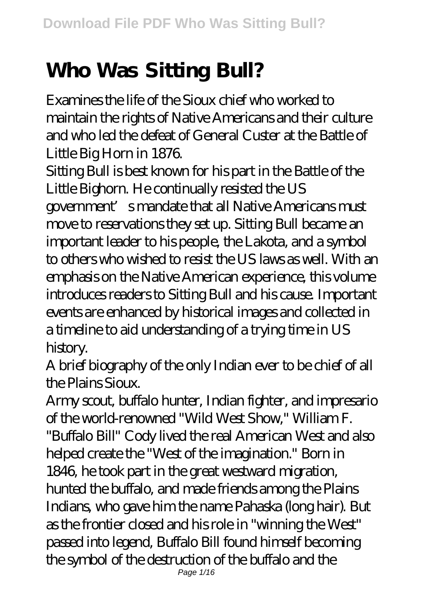## **Who Was Sitting Bull?**

Examines the life of the Sioux chief who worked to maintain the rights of Native Americans and their culture and who led the defeat of General Custer at the Battle of Little Big Horn in 1876.

Sitting Bull is best known for his part in the Battle of the Little Bighorn. He continually resisted the US government's mandate that all Native Americans must move to reservations they set up. Sitting Bull became an important leader to his people, the Lakota, and a symbol to others who wished to resist the US laws as well. With an emphasis on the Native American experience, this volume introduces readers to Sitting Bull and his cause. Important events are enhanced by historical images and collected in a timeline to aid understanding of a trying time in US history.

A brief biography of the only Indian ever to be chief of all the Plains Sioux.

Army scout, buffalo hunter, Indian fighter, and impresario of the world-renowned "Wild West Show," William F. "Buffalo Bill" Cody lived the real American West and also helped create the "West of the imagination." Born in 1846, he took part in the great westward migration, hunted the buffalo, and made friends among the Plains Indians, who gave him the name Pahaska (long hair). But as the frontier closed and his role in "winning the West" passed into legend, Buffalo Bill found himself becoming the symbol of the destruction of the buffalo and the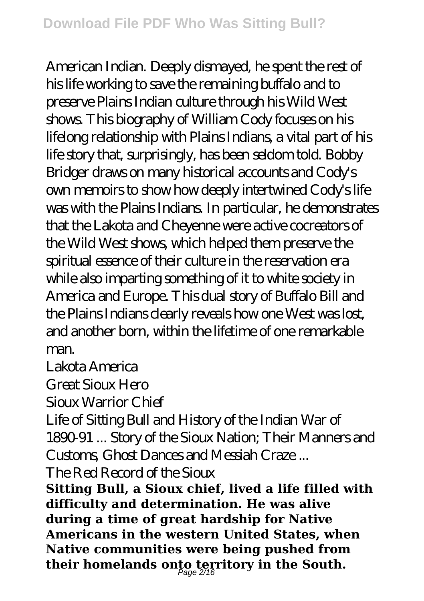American Indian. Deeply dismayed, he spent the rest of his life working to save the remaining buffalo and to preserve Plains Indian culture through his Wild West shows. This biography of William Cody focuses on his lifelong relationship with Plains Indians, a vital part of his life story that, surprisingly, has been seldom told. Bobby Bridger draws on many historical accounts and Cody's own memoirs to show how deeply intertwined Cody's life was with the Plains Indians. In particular, he demonstrates that the Lakota and Cheyenne were active cocreators of the Wild West shows, which helped them preserve the spiritual essence of their culture in the reservation era while also imparting something of it to white society in America and Europe. This dual story of Buffalo Bill and the Plains Indians clearly reveals how one West was lost, and another born, within the lifetime of one remarkable man.

Lakota America

Great Sioux Hero

Sioux Warrior Chief

Life of Sitting Bull and History of the Indian War of 1890-91 ... Story of the Sioux Nation; Their Manners and Customs, Ghost Dances and Messiah Craze ...

The Red Record of the Sioux

**Sitting Bull, a Sioux chief, lived a life filled with difficulty and determination. He was alive during a time of great hardship for Native Americans in the western United States, when Native communities were being pushed from their homelands onto territory in the South.** Page 2/16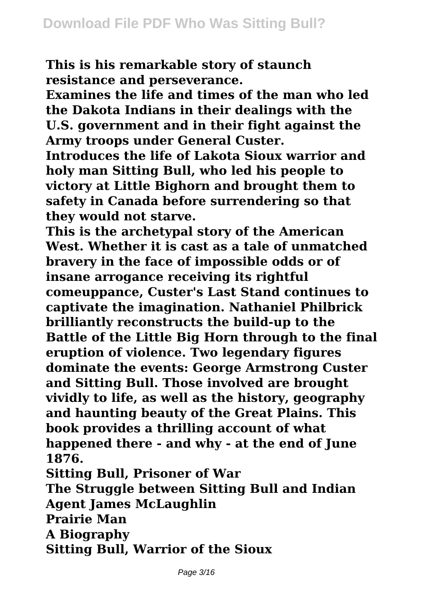**This is his remarkable story of staunch resistance and perseverance.**

**Examines the life and times of the man who led the Dakota Indians in their dealings with the U.S. government and in their fight against the Army troops under General Custer.**

**Introduces the life of Lakota Sioux warrior and holy man Sitting Bull, who led his people to victory at Little Bighorn and brought them to safety in Canada before surrendering so that they would not starve.**

**This is the archetypal story of the American West. Whether it is cast as a tale of unmatched bravery in the face of impossible odds or of insane arrogance receiving its rightful comeuppance, Custer's Last Stand continues to captivate the imagination. Nathaniel Philbrick brilliantly reconstructs the build-up to the Battle of the Little Big Horn through to the final eruption of violence. Two legendary figures dominate the events: George Armstrong Custer and Sitting Bull. Those involved are brought vividly to life, as well as the history, geography and haunting beauty of the Great Plains. This book provides a thrilling account of what happened there - and why - at the end of June 1876.**

**Sitting Bull, Prisoner of War**

**The Struggle between Sitting Bull and Indian Agent James McLaughlin**

**Prairie Man**

**A Biography**

**Sitting Bull, Warrior of the Sioux**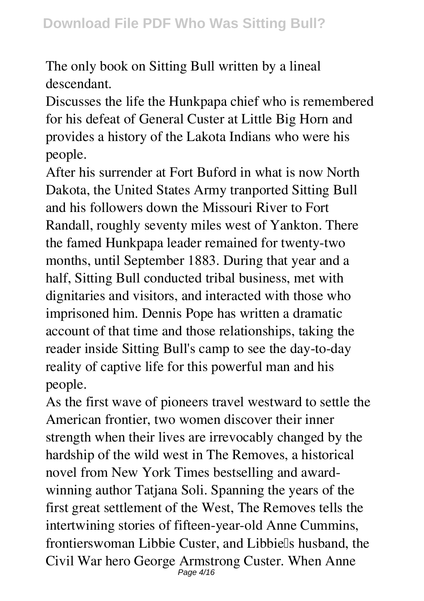The only book on Sitting Bull written by a lineal descendant.

Discusses the life the Hunkpapa chief who is remembered for his defeat of General Custer at Little Big Horn and provides a history of the Lakota Indians who were his people.

After his surrender at Fort Buford in what is now North Dakota, the United States Army tranported Sitting Bull and his followers down the Missouri River to Fort Randall, roughly seventy miles west of Yankton. There the famed Hunkpapa leader remained for twenty-two months, until September 1883. During that year and a half, Sitting Bull conducted tribal business, met with dignitaries and visitors, and interacted with those who imprisoned him. Dennis Pope has written a dramatic account of that time and those relationships, taking the reader inside Sitting Bull's camp to see the day-to-day reality of captive life for this powerful man and his people.

As the first wave of pioneers travel westward to settle the American frontier, two women discover their inner strength when their lives are irrevocably changed by the hardship of the wild west in The Removes, a historical novel from New York Times bestselling and awardwinning author Tatjana Soli. Spanning the years of the first great settlement of the West, The Removes tells the intertwining stories of fifteen-year-old Anne Cummins, frontierswoman Libbie Custer, and Libbiells husband, the Civil War hero George Armstrong Custer. When Anne Page 4/16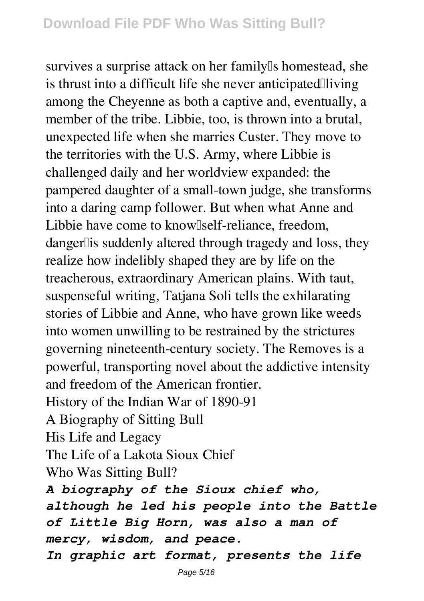survives a surprise attack on her family<sup>[]</sup>s homestead, she is thrust into a difficult life she never anticipated  $\Box$ living among the Cheyenne as both a captive and, eventually, a member of the tribe. Libbie, too, is thrown into a brutal, unexpected life when she marries Custer. They move to the territories with the U.S. Army, where Libbie is challenged daily and her worldview expanded: the pampered daughter of a small-town judge, she transforms into a daring camp follower. But when what Anne and Libbie have come to know [self-reliance, freedom, danger lis suddenly altered through tragedy and loss, they realize how indelibly shaped they are by life on the treacherous, extraordinary American plains. With taut, suspenseful writing, Tatjana Soli tells the exhilarating stories of Libbie and Anne, who have grown like weeds into women unwilling to be restrained by the strictures governing nineteenth-century society. The Removes is a powerful, transporting novel about the addictive intensity and freedom of the American frontier. History of the Indian War of 1890-91 A Biography of Sitting Bull His Life and Legacy The Life of a Lakota Sioux Chief

Who Was Sitting Bull?

*A biography of the Sioux chief who, although he led his people into the Battle of Little Big Horn, was also a man of mercy, wisdom, and peace.*

*In graphic art format, presents the life*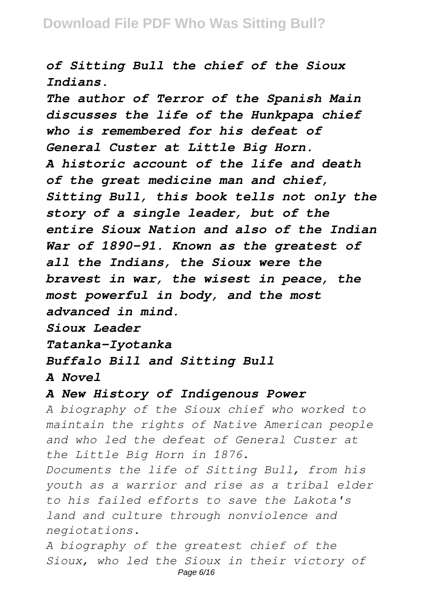*of Sitting Bull the chief of the Sioux Indians.*

*The author of Terror of the Spanish Main discusses the life of the Hunkpapa chief who is remembered for his defeat of General Custer at Little Big Horn. A historic account of the life and death of the great medicine man and chief, Sitting Bull, this book tells not only the story of a single leader, but of the entire Sioux Nation and also of the Indian War of 1890-91. Known as the greatest of all the Indians, the Sioux were the bravest in war, the wisest in peace, the most powerful in body, and the most advanced in mind.*

*Sioux Leader*

*Tatanka-Iyotanka*

## *Buffalo Bill and Sitting Bull*

*A Novel*

## *A New History of Indigenous Power*

*A biography of the Sioux chief who worked to maintain the rights of Native American people and who led the defeat of General Custer at the Little Big Horn in 1876.*

*Documents the life of Sitting Bull, from his youth as a warrior and rise as a tribal elder to his failed efforts to save the Lakota's land and culture through nonviolence and negiotations.*

*A biography of the greatest chief of the Sioux, who led the Sioux in their victory of* Page 6/16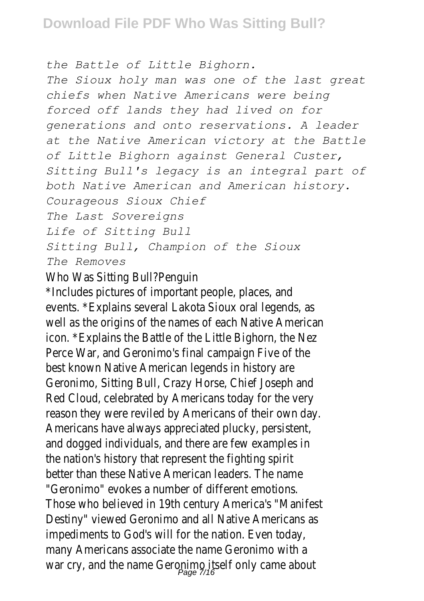*the Battle of Little Bighorn.*

*The Sioux holy man was one of the last great chiefs when Native Americans were being forced off lands they had lived on for generations and onto reservations. A leader at the Native American victory at the Battle of Little Bighorn against General Custer, Sitting Bull's legacy is an integral part of both Native American and American history. Courageous Sioux Chief The Last Sovereigns Life of Sitting Bull Sitting Bull, Champion of the Sioux The Removes*

## Who Was Sitting Bull?Pend

\*Includes pictures of important people, place events. \*Explains several Lakota Sioux oral legen well as the origins of the names of each Native American icon. \*Explains the Battle of the Little Bighorn, the Neza Perce War, and Geronimo's final campaign Five best known Native American legends in histo Geronimo, Sitting Bull, Crazy Horse, Chief Jose Red Cloud, celebrated by Americans today for the very reason they were reviled by Americans of their own Americans have always appreciated plucky, persent and dogged individuals, and there are few exam the nation's history that represent the fighting better than these Native American leaders. The "Geronimo" evokes a number of different emo Those who believed in 19th century America's "Manifest" Destiny" viewed Geronimo and all Native Americans and all Native Americans and all Native impediments to God's will for the nation. Even many Americans associate the name Geronimo war cry, and the name Geronimo itself only came<br>Page 7/16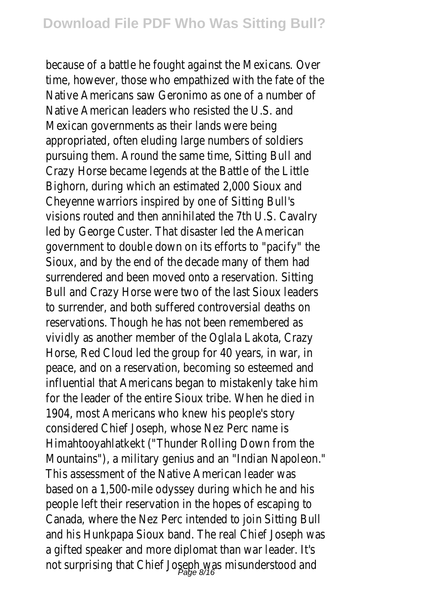because of a battle he fought against the Mexican time, however, those who empathized with the fate Native Americans saw Geronimo as one of a num Native American leaders who resisted the U. Mexican governments as their lands were appropriated, often eluding large numbers of soldiers pursuing them. Around the same time, Sitting B Crazy Horse became legends at the Battle of the Bighorn, during which an estimated 2,000 Sio Cheyenne warriors inspired by one of Sitting visions routed and then annihilated the 7th U.S. led by George Custer. That disaster led the Am government to double down on its efforts to "pacition" Sioux, and by the end of the decade many of the surrendered and been moved onto a reservation. Bull and Crazy Horse were two of the last Sioux to surrender, and both suffered controversial death reservations. Though he has not been remember vividly as another member of the Oglala Lakota, Horse, Red Cloud led the group for 40 years, in peace, and on a reservation, becoming so esteem influential that Americans began to mistakenly take him for the leader of the entire Sioux tribe. When he 1904, most Americans who knew his people's considered Chief Joseph, whose Nez Perc na Himahtooyahlatkekt ("Thunder Rolling Down from Mountains"), a military genius and an "Indian Nap This assessment of the Native American leader based on a 1,500-mile odyssey during which he and his people left their reservation in the hopes of esca Canada, where the Nez Perc intended to join Sitt and his Hunkpapa Sioux band. The real Chief Joser a gifted speaker and more diplomat than war lead not surprising that Chief Joseph was misundersto<br>Page 8/16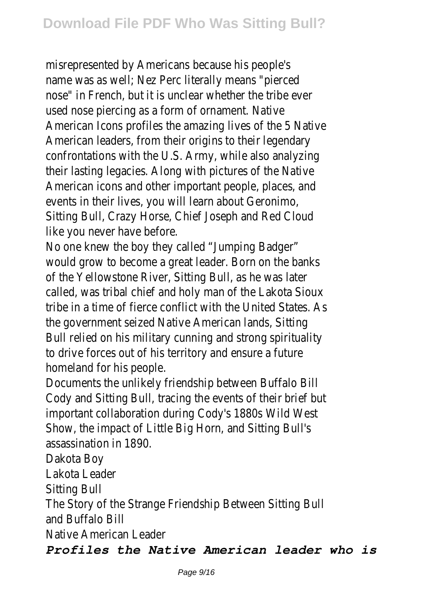misrepresented by Americans because his pe name was as well; Nez Perc literally means "portnose" in French, but it is unclear whether the tril used nose piercing as a form of ornament. American Icons profiles the amazing lives of the 5 American leaders, from their origins to their legendary confrontations with the U.S. Army, while also ar their lasting legacies. Along with pictures of the American icons and other important people, place events in their lives, you will learn about Ger Sitting Bull, Crazy Horse, Chief Joseph and Red like you never have before.

No one knew the boy they called "Jumping B would grow to become a great leader. Born on the of the Yellowstone River, Sitting Bull, as he was called, was tribal chief and holy man of the Lakot tribe in a time of fierce conflict with the United St the government seized Native American lands, Bull relied on his military cunning and strong spire to drive forces out of his territory and ensure a homeland for his peop

Documents the unlikely friendship between Buff Cody and Sitting Bull, tracing the events of their b important collaboration during Cody's 1880s Wild Show, the impact of Little Big Horn, and Sitting assassination in 189

Dakota Bo

Lakota Leade

Sitting Bu

The Story of the Strange Friendship Between Sitt and Buffalo B

Native American Lead

*Profiles the Native American leader who is*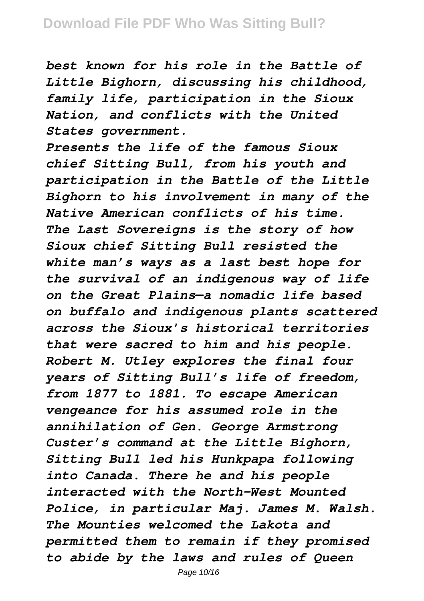*best known for his role in the Battle of Little Bighorn, discussing his childhood, family life, participation in the Sioux Nation, and conflicts with the United States government.*

*Presents the life of the famous Sioux chief Sitting Bull, from his youth and participation in the Battle of the Little Bighorn to his involvement in many of the Native American conflicts of his time. The Last Sovereigns is the story of how Sioux chief Sitting Bull resisted the white man's ways as a last best hope for the survival of an indigenous way of life on the Great Plains—a nomadic life based on buffalo and indigenous plants scattered across the Sioux's historical territories that were sacred to him and his people. Robert M. Utley explores the final four years of Sitting Bull's life of freedom, from 1877 to 1881. To escape American vengeance for his assumed role in the annihilation of Gen. George Armstrong Custer's command at the Little Bighorn, Sitting Bull led his Hunkpapa following into Canada. There he and his people interacted with the North-West Mounted Police, in particular Maj. James M. Walsh. The Mounties welcomed the Lakota and permitted them to remain if they promised to abide by the laws and rules of Queen*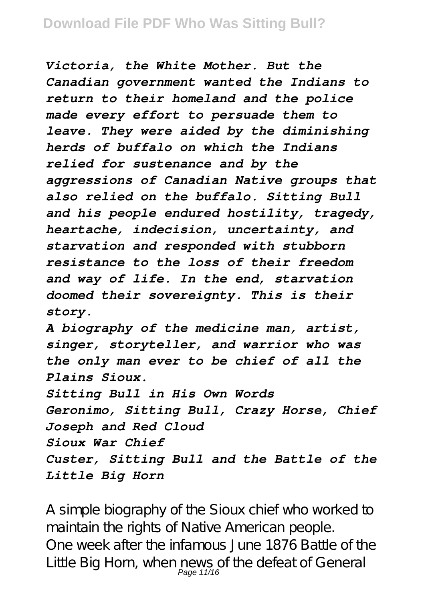*Victoria, the White Mother. But the Canadian government wanted the Indians to return to their homeland and the police made every effort to persuade them to leave. They were aided by the diminishing herds of buffalo on which the Indians relied for sustenance and by the aggressions of Canadian Native groups that also relied on the buffalo. Sitting Bull and his people endured hostility, tragedy, heartache, indecision, uncertainty, and starvation and responded with stubborn resistance to the loss of their freedom and way of life. In the end, starvation doomed their sovereignty. This is their story.*

*A biography of the medicine man, artist, singer, storyteller, and warrior who was the only man ever to be chief of all the Plains Sioux.*

*Sitting Bull in His Own Words Geronimo, Sitting Bull, Crazy Horse, Chief Joseph and Red Cloud Sioux War Chief Custer, Sitting Bull and the Battle of the Little Big Horn*

A simple biography of the Sioux chief who worked to maintain the rights of Native American people. One week after the infamous June 1876 Battle of the Little Big Horn, when news of the defeat of General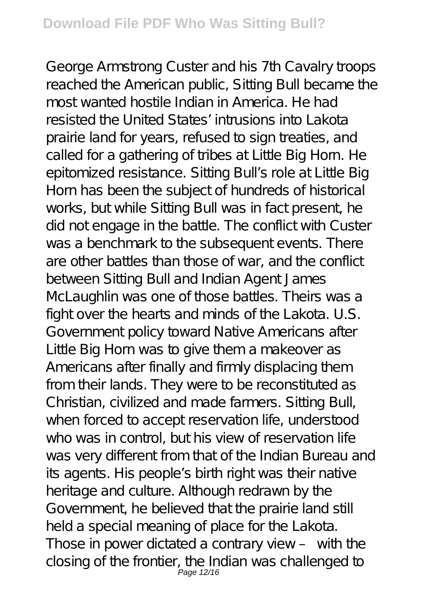George Armstrong Custer and his 7th Cavalry troops reached the American public, Sitting Bull became the most wanted hostile Indian in America. He had resisted the United States' intrusions into Lakota prairie land for years, refused to sign treaties, and called for a gathering of tribes at Little Big Horn. He epitomized resistance. Sitting Bull's role at Little Big Horn has been the subject of hundreds of historical works, but while Sitting Bull was in fact present, he did not engage in the battle. The conflict with Custer was a benchmark to the subsequent events. There are other battles than those of war, and the conflict between Sitting Bull and Indian Agent James McLaughlin was one of those battles. Theirs was a fight over the hearts and minds of the Lakota. U.S. Government policy toward Native Americans after Little Big Horn was to give them a makeover as Americans after finally and firmly displacing them from their lands. They were to be reconstituted as Christian, civilized and made farmers. Sitting Bull, when forced to accept reservation life, understood who was in control, but his view of reservation life was very different from that of the Indian Bureau and its agents. His people's birth right was their native heritage and culture. Although redrawn by the Government, he believed that the prairie land still held a special meaning of place for the Lakota. Those in power dictated a contrary view – with the closing of the frontier, the Indian was challenged to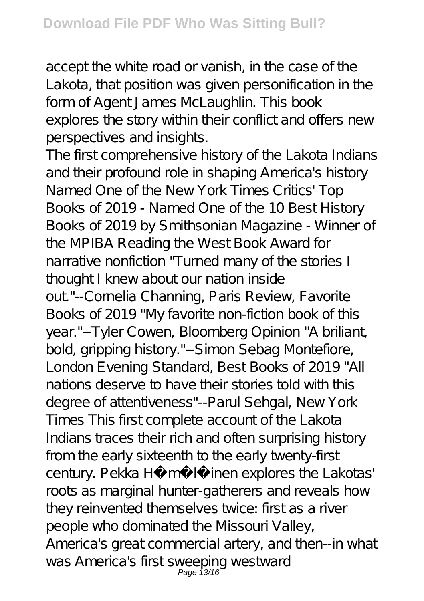accept the white road or vanish, in the case of the Lakota, that position was given personification in the form of Agent James McLaughlin. This book explores the story within their conflict and offers new perspectives and insights.

The first comprehensive history of the Lakota Indians and their profound role in shaping America's history Named One of the New York Times Critics' Top Books of 2019 - Named One of the 10 Best History Books of 2019 by Smithsonian Magazine - Winner of the MPIBA Reading the West Book Award for narrative nonfiction "Turned many of the stories I thought I knew about our nation inside out"--Cornelia Channing, Paris Review, Favorite Books of 2019 "My favorite non-fiction book of this year."--Tyler Cowen, Bloomberg Opinion "A briliant, bold, gripping history."--Simon Sebag Montefiore, London Evening Standard, Best Books of 2019 "All nations deserve to have their stories told with this degree of attentiveness"--Parul Sehgal, New York Times This first complete account of the Lakota Indians traces their rich and often surprising history from the early sixteenth to the early twenty-first century. Pekka Hämäläinen explores the Lakotas' roots as marginal hunter-gatherers and reveals how they reinvented themselves twice: first as a river people who dominated the Missouri Valley, America's great commercial artery, and then--in what was America's first sweeping westward<br>Page 13/16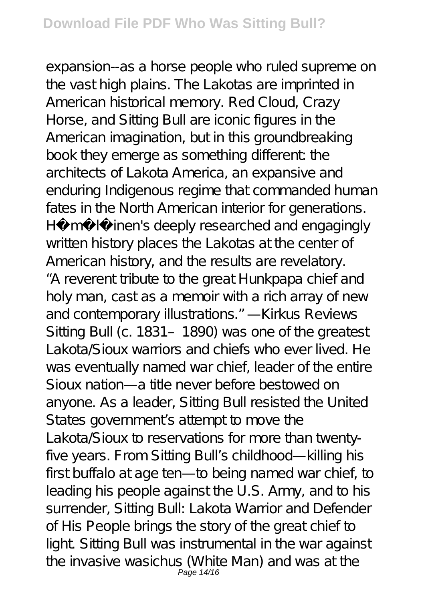expansion--as a horse people who ruled supreme on the vast high plains. The Lakotas are imprinted in American historical memory. Red Cloud, Crazy Horse, and Sitting Bull are iconic figures in the American imagination, but in this groundbreaking book they emerge as something different the architects of Lakota America, an expansive and enduring Indigenous regime that commanded human fates in the North American interior for generations. Hämäläinen's deeply researched and engagingly written history places the Lakotas at the center of American history, and the results are revelatory. "A reverent tribute to the great Hunkpapa chief and holy man, cast as a memoir with a rich array of new and contemporary illustrations." —Kirkus Reviews Sitting Bull (c. 1831 - 1890) was one of the greatest Lakota/Sioux warriors and chiefs who ever lived. He was eventually named war chief, leader of the entire Sioux nation—a title never before bestowed on anyone. As a leader, Sitting Bull resisted the United States government's attempt to move the Lakota/Sioux to reservations for more than twentyfive years. From Sitting Bull's childhood—killing his first buffalo at age ten—to being named war chief, to leading his people against the U.S. Army, and to his surrender, Sitting Bull: Lakota Warrior and Defender of His People brings the story of the great chief to light. Sitting Bull was instrumental in the war against the invasive wasichus (White Man) and was at the<br>Page 14/16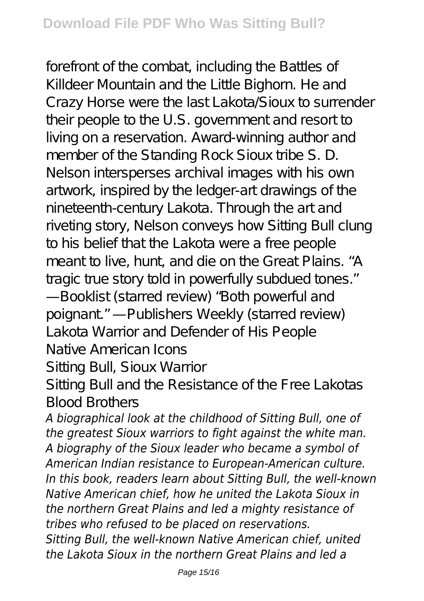forefront of the combat, including the Battles of Killdeer Mountain and the Little Bighorn. He and Crazy Horse were the last Lakota/Sioux to surrender their people to the U.S. government and resort to living on a reservation. Award-winning author and member of the Standing Rock Sioux tribe S. D. Nelson intersperses archival images with his own artwork, inspired by the ledger-art drawings of the nineteenth-century Lakota. Through the art and riveting story, Nelson conveys how Sitting Bull clung to his belief that the Lakota were a free people meant to live, hunt, and die on the Great Plains. "A tragic true story told in powerfully subdued tones." —Booklist (starred review) "Both powerful and poignant" - Publishers Weekly (starred review) Lakota Warrior and Defender of His People Native American Icons

Sitting Bull, Sioux Warrior

Sitting Bull and the Resistance of the Free Lakotas Blood Brothers

*A biographical look at the childhood of Sitting Bull, one of the greatest Sioux warriors to fight against the white man. A biography of the Sioux leader who became a symbol of American Indian resistance to European-American culture. In this book, readers learn about Sitting Bull, the well-known Native American chief, how he united the Lakota Sioux in the northern Great Plains and led a mighty resistance of tribes who refused to be placed on reservations. Sitting Bull, the well-known Native American chief, united the Lakota Sioux in the northern Great Plains and led a*